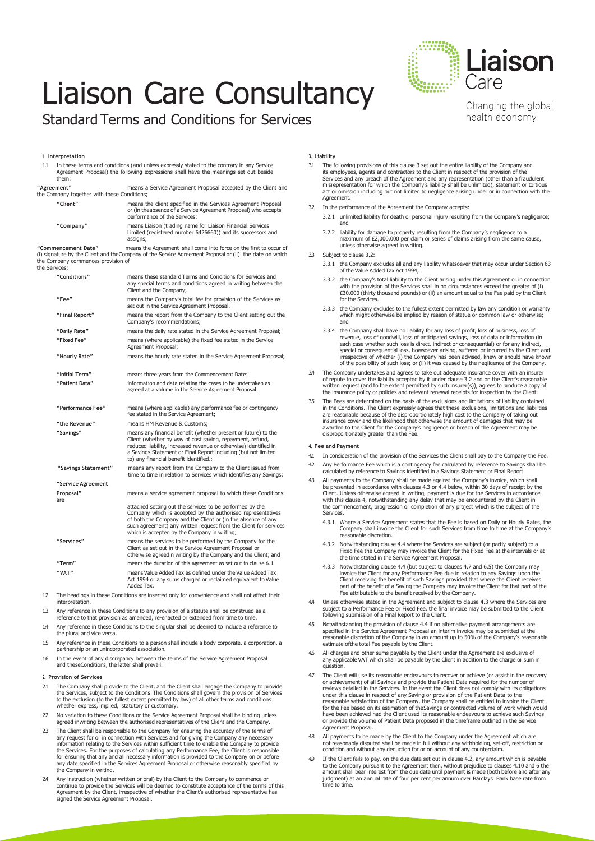# Liaison Care Consultancy

### Standard Terms and Conditions for Services

#### **1. Interpretation**

| 1.1 | them:                                                                      | In these terms and conditions (and unless expressly stated to the contrary in any Service<br>Agreement Proposal) the following expressions shall have the meanings set out beside                                                                                                                           |
|-----|----------------------------------------------------------------------------|-------------------------------------------------------------------------------------------------------------------------------------------------------------------------------------------------------------------------------------------------------------------------------------------------------------|
|     | "Agreement"<br>the Company together with these Conditions;                 | means a Service Agreement Proposal accepted by the Client and                                                                                                                                                                                                                                               |
|     | "Client"                                                                   | means the client specified in the Services Agreement Proposal<br>or (in theabsence of a Service Agreement Proposal) who accepts<br>performance of the Services;                                                                                                                                             |
|     | "Company"                                                                  | means Liaison (trading name for Liaison Financial Services<br>Limited (registered number 6426660)) and its successors and<br>assigns;                                                                                                                                                                       |
|     | "Commencement Date"<br>the Company commences provision of<br>the Services; | means the Agreement shall come into force on the first to occur of<br>(i) signature by the Client and the Company of the Service Agreement Proposal or (ii) the date on which                                                                                                                               |
|     | "Conditions"                                                               | means these standard Terms and Conditions for Services and<br>any special terms and conditions agreed in writing between the<br>Client and the Company;                                                                                                                                                     |
|     | "Fee"                                                                      | means the Company's total fee for provision of the Services as<br>set out in the Service Agreement Proposal.                                                                                                                                                                                                |
|     | "Final Report"                                                             | means the report from the Company to the Client setting out the<br>Company's recommendations;                                                                                                                                                                                                               |
|     | "Daily Rate"                                                               | means the daily rate stated in the Service Agreement Proposal;                                                                                                                                                                                                                                              |
|     | "Fixed Fee"                                                                | means (where applicable) the fixed fee stated in the Service<br>Agreement Proposal;                                                                                                                                                                                                                         |
|     | "Hourly Rate"                                                              | means the hourly rate stated in the Service Agreement Proposal;                                                                                                                                                                                                                                             |
|     | "Initial Term"                                                             | means three years from the Commencement Date;                                                                                                                                                                                                                                                               |
|     | "Patient Data"                                                             | information and data relating the cases to be undertaken as<br>agreed at a volume in the Service Agreement Proposal.                                                                                                                                                                                        |
|     | "Performance Fee"                                                          | means (where applicable) any performance fee or contingency<br>fee stated in the Service Agreement;                                                                                                                                                                                                         |
|     | "the Revenue"                                                              | means HM Revenue & Customs;                                                                                                                                                                                                                                                                                 |
|     | "Savings"                                                                  | means any financial benefit (whether present or future) to the<br>Client (whether by way of cost saving, repayment, refund,<br>reduced liability, increased revenue or otherwise) identified in<br>a Savings Statement or Final Report including (but not limited<br>to) any financial benefit identified.; |
|     | "Savings Statement"                                                        | means any report from the Company to the Client issued from<br>time to time in relation to Services which identifies any Savings;                                                                                                                                                                           |
|     | "Service Agreement                                                         |                                                                                                                                                                                                                                                                                                             |
|     | Proposal"<br>are                                                           | means a service agreement proposal to which these Conditions                                                                                                                                                                                                                                                |
|     |                                                                            | attached setting out the services to be performed by the<br>Company which is accepted by the authorised representatives<br>of both the Company and the Client or (in the absence of any<br>such agreement) any written request from the Client for services<br>which is accepted by the Company in writing; |
|     | "Services"                                                                 | means the services to be performed by the Company for the<br>Client as set out in the Service Agreement Proposal or<br>otherwise agreedin writing by the Company and the Client; and                                                                                                                        |

- **"Term"** means the duration of this Agreement as set out in clause 6.1 **"VAT"** means Value Added Tax as defined under the Value Added Tax Act 1994 or any sums charged or reclaimed equivalent to Value AddedTax.
- 1.2 The headings in these Conditions are inserted only for convenience and shall not affect their interpretation.
- 1.3 Any reference in these Conditions to any provision of a statute shall be construed as a rence to that provision as amended, re-enacted or extended from
- 1.4 Any reference in these Conditions to the singular shall be deemed to include a reference to the plural and vice versa.
- 1.5 Any reference in these Conditions to a person shall include a body corporate, a corporation, a partnership or an unincorporated association.
- 16 In the event of any discrepancy between the terms of the Service Agreement Proposal and theseConditions, the latter shall prevail.

#### **2. Provision of Services**

- 2.1 The Company shall provide to the Client, and the Client shall engage the Company to provide the Services, subject to the Conditions. The Conditions shall govern the provision of Services to the exclusion (to the fullest extent permitted by law) of all other terms and conditions whether express, implied, statutory or customary.
- 22 No variation to these Conditions or the Service Agreement Proposal shall be binding unless agreed inwriting between the authorised representatives of the Client and the Company.
- 2.3 The Client shall be responsible to the Company for ensuring the accuracy of the terms of any request for or in connection with Services and for giving the Company any necessary information relating to the Services within sufficient time to enable the Company to provide the Services. For the purposes of calculating any Performance Fee, the Client is responsible<br>for ensuring that any and all necessary information is provided to the Company on or before<br>any date specified in the Services Ag the Company in writing.
- Any instruction (whether written or oral) by the Client to the Company to commence or continue to provide the Services will be deemed to constitute acceptance of the terms of this Agreement by the Client, irrespective of whether the Client's authorised representative has signed the Service Agreement Proposal.

#### **3. Liability**

- 3.1 The following provisions of this clause 3 set out the entire liability of the Company and its employees, agents and contractors to the Client in respect of the provision of the<br>Services and any breach of the Agreement and any representation (other than a fraudulent<br>misrepresentation for which the Company's liab act or omission including but not limited to negligence arising under or in connection with the Agreement.
- In the performance of the Agreement the Company accepts:
	- 3.2.1 unlimited liability for death or personal injury resulting from the Company's negligence; and
	- 3.2.2 liability for damage to property resulting from the Company's negligence to a maximum of £2,000,000 per claim or series of claims arising from the same cause, unless otherwise agreed in writing.
- 3.3 Subject to clause 3.2:
	- 3.3.1 the Company excludes all and any liability whatsoever that may occur under Section 63 of the Value Added Tax Act 1994;
	- 3.3.2 the Company's total liability to the Client arising under this Agreement or in connection with the provision of the Services shall in no circumstances exceed the greater of (i) £30,000 (thirty thousand pounds) or (ii) an amount equal to the Fee paid by the Client for the Services.
	- 3.3.3 the Company excludes to the fullest extent permitted by law any condition or warranty which might otherwise be implied by reason of statue or common law or otherwise; and
	- 3.3.4 the Company shall have no liability for any loss of profit, loss of business, loss of revenue, loss of goodwill, loss of anticipated savings, loss of data or information (in each case whether such loss is direct, indirect or consequential) or for any indirect,<br>special or consequential loss, howsoever arising, suffered or incurred by the Client and<br>irrespective of whether (i) the Company has be of the possibility of such loss; or (ii) it was caused by the negligence of the Company.
- 3.4 The Company undertakes and agrees to take out adequate insurance cover with an insurer of repute to cover the liability accepted by it under clause 3.2 and on the Client's reasonable written request (and to the extent permitted by such insurer(s)), agrees to produce a copy of the insurance policy or policies and relevant renewal receipts for inspection by the Client.
- The Fees are determined on the basis of the exclusions and limitations of liability contained in the Conditions. The Client expressly agrees that these exclusions, limitations and liabilities<br>are reasonable because of the disproportionately high cost to the Company of taking out<br>insurance cover and the likelihood t awarded to the Client for the Company's negligence or breach of the Agreement may be disproportionately greater than the Fee.

#### **4. Fee and Payment**

- 4.1 In consideration of the provision of the Services the Client shall pay to the Company the Fee. 4.2 Any Performance Fee which is a contingency fee calculated by reference to Savings shall be
- calculated by reference to Savings identified in a Savings Statement or Final Report. All payments to the Company shall be made against the Company's invoice, which shall
- be presented in accordance with clauses 4.3 or 4.4 below, within 30 days of receipt by the<br>Client. Unless otherwise agreed in writing, payment is due for the Services in accordance<br>with this clause 4, notwithstanding any d the commencement, progression or completion of any project which is the subject of the Services.
	- 4.3.1 Where a Service Agreement states that the Fee is based on Daily or Hourly Rates, the Company shall invoice the Client for such Services from time to time at the Company's reasonable discretion.
	- 4.3.2 Notwithstanding clause 4.4 where the Services are subject (or partly subject) to a Fixed Fee the Company may invoice the Client for the Fixed Fee at the intervals or at the time stated in the Service Agreement Proposal.
	- 4.3.3 Notwithstanding clause 4.4 (but subject to clauses 4.7 and 6.5) the Company may invoice the Client for any Performance Fee due in relation to any Savings upon the Client receiving the benefit of such Savings provided that where the Client receives<br>part of the benefit of a Saving the Company may invoice the Client for that part of the<br>Fee attributable to the benefit received by the C
- 4.4 Unless otherwise stated in the Agreement and subject to clause 4.3 where the Services are subject to a Performance Fee or Fixed Fee, the final invoice may be submitted to the Client following submission of a Final Report to the Client.
- 4.5 Notwithstanding the provision of clause 4.4 if no alternative payment arrangements are specified in the Service Agreement Proposal an interim invoice may be submitted at the reasonable discretion of the Company in an amount up to 50% of the Company's reasonable estimate ofthe total Fee payable by the Client.
- All charges and other sums payable by the Client under the Agreement are exclusive of any applicable VAT which shall be payable by the Client in addition to the charge or sum in question.
- 4.7 The Client will use its reasonable endeavours to recover or achieve (or assist in the recovery or achievement) of all Savings and provide the Patient Data required for the number of reviews detailed in the Services. In the event the Client does not comply with its obligations under this clause in respect of any Saving or provision of the Patient Data to the reasonable satisfaction of the Company, the Company shall be entitled to invoice the Client<br>for the Fee based on its estimation of theSavings or contracted volume of work which would<br>have been achieved had the Client used or provide the volume of Patient Data proposed in the timeframe outlined in the Service Agreement Proposal.
- 4.8 All payments to be made by the Client to the Company under the Agreement which are not reasonably disputed shall be made in full without any withholding, set-off, restriction or condition and without any deduction for or on account of any counterclaim.
- 4.9 If the Client fails to pay, on the due date set out in clause 4.2, any amount which is payable to the Company pursuant to the Agreement then, without prejudice to clauses 4.10 and 6 the amount shall bear interest from the due date until payment is made (both before and after any judgment) at an annual rate of four per cent per annum over Barclays Bank base rate from time to time.



Changing the global health economy